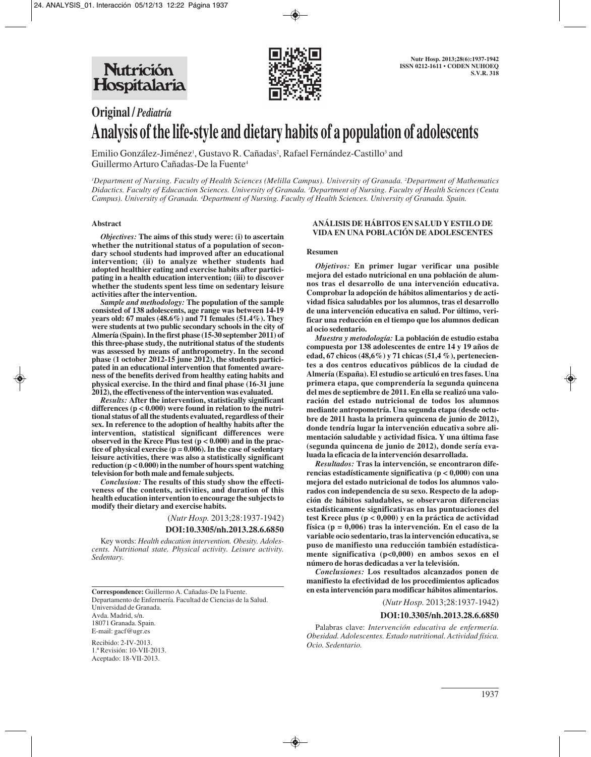

# **Original /** *Pediatría* **Analysis of the life-style and dietary habits of a population of adolescents**

Emilio González-Jiménez<sup>1</sup>, Gustavo R. Cañadas<sup>2</sup>, Rafael Fernández-Castillo<sup>3</sup> and Guillermo Arturo Cañadas-De la Fuente4

*1 Department of Nursing. Faculty of Health Sciences (Melilla Campus). University of Granada. 2 Department of Mathematics Didactics. Faculty of Educaction Sciences. University of Granada. 3 Department of Nursing. Faculty of Health Sciences (Ceuta Campus). University of Granada. 4 Department of Nursing. Faculty of Health Sciences. University of Granada. Spain.*

### **Abstract**

*Objectives:* **The aims of this study were: (i) to ascertain whether the nutritional status of a population of secondary school students had improved after an educational intervention; (ii) to analyze whether students had adopted healthier eating and exercise habits after participating in a health education intervention; (iii) to discover whether the students spent less time on sedentary leisure activities after the intervention.**

*Sample and methodology:* **The population of the sample consisted of 138 adolescents, age range was between 14-19 years old: 67 males (48.6%) and 71 females (51.4%). They were students at two public secondary schools in the city of Almería (Spain). In the first phase (15-30 september 2011) of this three-phase study, the nutritional status of the students was assessed by means of anthropometry. In the second phase (1 october 2012-15 june 2012), the students participated in an educational intervention that fomented awareness of the benefits derived from healthy eating habits and physical exercise. In the third and final phase (16-31 june 2012), the effectiveness of the intervention was evaluated.**

*Results:* **After the intervention, statistically significant differences (p < 0.000) were found in relation to the nutritional status of all the students evaluated, regardless of their sex. In reference to the adoption of healthy habits after the intervention, statistical significant differences were observed in the Krece Plus test (p < 0.000) and in the practice of physical exercise (p = 0.006). In the case of sedentary leisure activities, there was also a statistically significant reduction (p < 0.000) in the number of hours spent watching television for both male and female subjects.**

*Conclusion:* **The results of this study show the effectiveness of the contents, activities, and duration of this health education intervention to encourage the subjects to modify their dietary and exercise habits.**

(*Nutr Hosp.* 2013;28:1937-1942)

#### **DOI:10.3305/nh.2013.28.6.6850**

Key words: *Health education intervention. Obesity. Adolescents. Nutritional state. Physical activity. Leisure activity. Sedentary.*

**Correspondence:** Guillermo A. Cañadas-De la Fuente. Departamento de Enfermería. Facultad de Ciencias de la Salud. Universidad de Granada. Avda. Madrid, s/n. 18071 Granada. Spain. E-mail: gacf@ugr.es

Recibido: 2-IV-2013. 1.ª Revisión: 10-VII-2013. Aceptado: 18-VII-2013.

### **ANÁLISIS DE HÁBITOS EN SALUD Y ESTILO DE VIDA EN UNA POBLACIÓN DE ADOLESCENTES**

#### **Resumen**

*Objetivos:* **En primer lugar verificar una posible mejora del estado nutricional en una población de alumnos tras el desarrollo de una intervención educativa. Comprobar la adopción de hábitos alimentarios y de actividad física saludables por los alumnos, tras el desarrollo de una intervención educativa en salud. Por último, verificar una reducción en el tiempo que los alumnos dedican al ocio sedentario.**

*Muestra y metodología:* **La población de estudio estaba compuesta por 138 adolescentes de entre 14 y 19 años de edad, 67 chicos (48,6%) y 71 chicas (51,4 %), pertenecientes a dos centros educativos públicos de la ciudad de Almería (España). El estudio se articuló en tres fases. Una primera etapa, que comprendería la segunda quincena del mes de septiembre de 2011. En ella se realizó una valoración del estado nutricional de todos los alumnos mediante antropometría. Una segunda etapa (desde octubre de 2011 hasta la primera quincena de junio de 2012), donde tendría lugar la intervención educativa sobre alimentación saludable y actividad física. Y una última fase (segunda quincena de junio de 2012), donde sería evaluada la eficacia de la intervención desarrollada.**

*Resultados:* **Tras la intervención, se encontraron diferencias estadísticamente significativa (p < 0,000) con una mejora del estado nutricional de todos los alumnos valorados con independencia de su sexo. Respecto de la adopción de hábitos saludables, se observaron diferencias estadísticamente significativas en las puntuaciones del test Krece plus (p < 0,000) y en la práctica de actividad física (p = 0,006) tras la intervención. En el caso de la variable ocio sedentario, tras la intervención educativa, se puso de manifiesto una reducción también estadísticamente significativa (p<0,000) en ambos sexos en el número de horas dedicadas a ver la televisión.**

*Conclusiones:* **Los resultados alcanzados ponen de manifiesto la efectividad de los procedimientos aplicados en esta intervención para modificar hábitos alimentarios.**

(*Nutr Hosp.* 2013;28:1937-1942)

## **DOI:10.3305/nh.2013.28.6.6850**

Palabras clave: *Intervención educativa de enfermería. Obesidad. Adolescentes. Estado nutritional. Actividad física. Ocio. Sedentario.*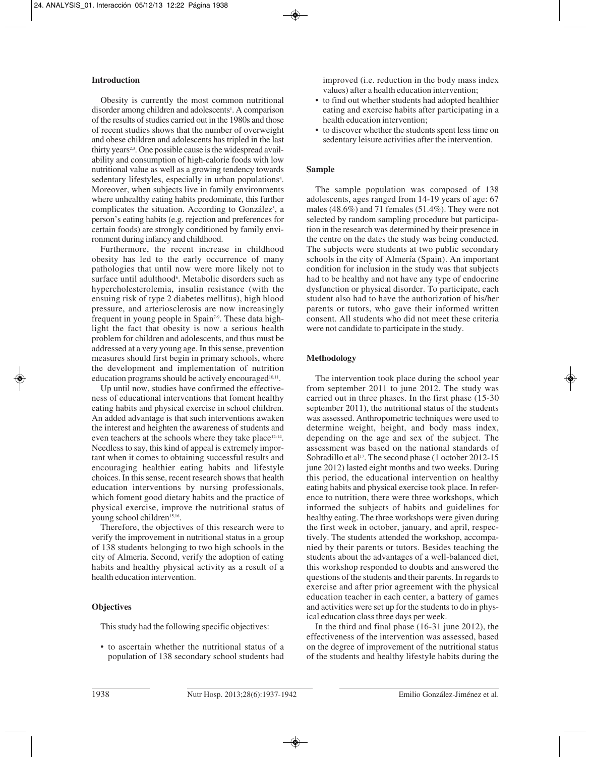# **Introduction**

Obesity is currently the most common nutritional disorder among children and adolescents<sup>1</sup>. A comparison of the results of studies carried out in the 1980s and those of recent studies shows that the number of overweight and obese children and adolescents has tripled in the last thirty years<sup>2,3</sup>. One possible cause is the widespread availability and consumption of high-calorie foods with low nutritional value as well as a growing tendency towards sedentary lifestyles, especially in urban populations<sup>4</sup>. Moreover, when subjects live in family environments where unhealthy eating habits predominate, this further complicates the situation. According to González<sup>5</sup>, a person's eating habits (e.g. rejection and preferences for certain foods) are strongly conditioned by family environment during infancy and childhood.

Furthermore, the recent increase in childhood obesity has led to the early occurrence of many pathologies that until now were more likely not to surface until adulthood<sup>6</sup>. Metabolic disorders such as hypercholesterolemia, insulin resistance (with the ensuing risk of type 2 diabetes mellitus), high blood pressure, and arteriosclerosis are now increasingly frequent in young people in Spain<sup>7-9</sup>. These data highlight the fact that obesity is now a serious health problem for children and adolescents, and thus must be addressed at a very young age. In this sense, prevention measures should first begin in primary schools, where the development and implementation of nutrition education programs should be actively encouraged $10,11$ .

Up until now, studies have confirmed the effectiveness of educational interventions that foment healthy eating habits and physical exercise in school children. An added advantage is that such interventions awaken the interest and heighten the awareness of students and even teachers at the schools where they take place12-14. Needless to say, this kind of appeal is extremely important when it comes to obtaining successful results and encouraging healthier eating habits and lifestyle choices. In this sense, recent research shows that health education interventions by nursing professionals, which foment good dietary habits and the practice of physical exercise, improve the nutritional status of young school children<sup>15,16</sup>.

Therefore, the objectives of this research were to verify the improvement in nutritional status in a group of 138 students belonging to two high schools in the city of Almeria. Second, verify the adoption of eating habits and healthy physical activity as a result of a health education intervention.

# **Objectives**

This study had the following specific objectives:

• to ascertain whether the nutritional status of a population of 138 secondary school students had

improved (i.e. reduction in the body mass index values) after a health education intervention;

- to find out whether students had adopted healthier eating and exercise habits after participating in a health education intervention;
- to discover whether the students spent less time on sedentary leisure activities after the intervention.

# **Sample**

The sample population was composed of 138 adolescents, ages ranged from 14-19 years of age: 67 males (48.6%) and 71 females (51.4%). They were not selected by random sampling procedure but participation in the research was determined by their presence in the centre on the dates the study was being conducted. The subjects were students at two public secondary schools in the city of Almería (Spain). An important condition for inclusion in the study was that subjects had to be healthy and not have any type of endocrine dysfunction or physical disorder. To participate, each student also had to have the authorization of his/her parents or tutors, who gave their informed written consent. All students who did not meet these criteria were not candidate to participate in the study.

### **Methodology**

The intervention took place during the school year from september 2011 to june 2012. The study was carried out in three phases. In the first phase (15-30 september 2011), the nutritional status of the students was assessed. Anthropometric techniques were used to determine weight, height, and body mass index, depending on the age and sex of the subject. The assessment was based on the national standards of Sobradillo et al<sup>17</sup>. The second phase (1 october 2012-15) june 2012) lasted eight months and two weeks. During this period, the educational intervention on healthy eating habits and physical exercise took place. In reference to nutrition, there were three workshops, which informed the subjects of habits and guidelines for healthy eating. The three workshops were given during the first week in october, january, and april, respectively. The students attended the workshop, accompanied by their parents or tutors. Besides teaching the students about the advantages of a well-balanced diet, this workshop responded to doubts and answered the questions of the students and their parents. In regards to exercise and after prior agreement with the physical education teacher in each center, a battery of games and activities were set up for the students to do in physical education class three days per week.

In the third and final phase (16-31 june 2012), the effectiveness of the intervention was assessed, based on the degree of improvement of the nutritional status of the students and healthy lifestyle habits during the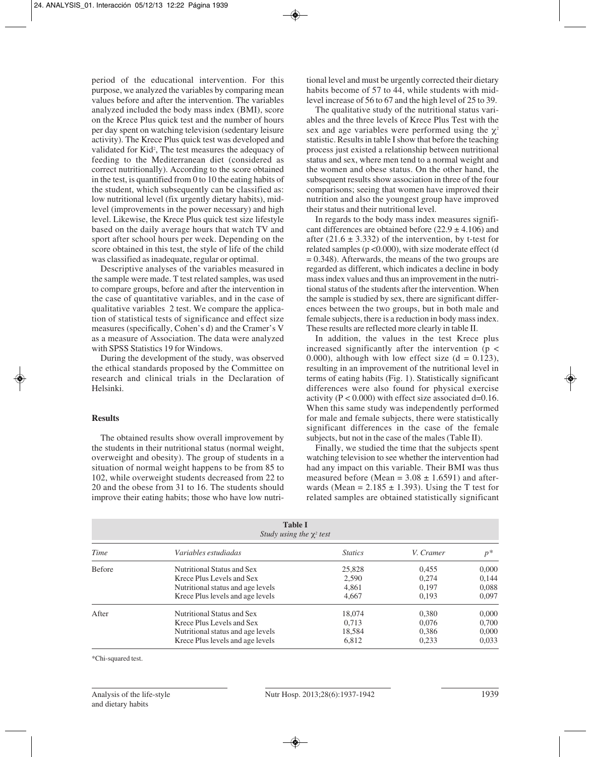period of the educational intervention. For this purpose, we analyzed the variables by comparing mean values before and after the intervention. The variables analyzed included the body mass index (BMI), score on the Krece Plus quick test and the number of hours per day spent on watching television (sedentary leisure activity). The Krece Plus quick test was developed and validated for Kid<sup>2</sup>, The test measures the adequacy of feeding to the Mediterranean diet (considered as correct nutritionally). According to the score obtained in the test, is quantified from 0 to 10 the eating habits of the student, which subsequently can be classified as: low nutritional level (fix urgently dietary habits), midlevel (improvements in the power necessary) and high level. Likewise, the Krece Plus quick test size lifestyle based on the daily average hours that watch TV and sport after school hours per week. Depending on the score obtained in this test, the style of life of the child was classified as inadequate, regular or optimal.

Descriptive analyses of the variables measured in the sample were made. T test related samples, was used to compare groups, before and after the intervention in the case of quantitative variables, and in the case of qualitative variables 2 test. We compare the application of statistical tests of significance and effect size measures (specifically, Cohen's d) and the Cramer's V as a measure of Association. The data were analyzed with SPSS Statistics 19 for Windows.

During the development of the study, was observed the ethical standards proposed by the Committee on research and clinical trials in the Declaration of Helsinki.

### **Results**

The obtained results show overall improvement by the students in their nutritional status (normal weight, overweight and obesity). The group of students in a situation of normal weight happens to be from 85 to 102, while overweight students decreased from 22 to 20 and the obese from 31 to 16. The students should improve their eating habits; those who have low nutritional level and must be urgently corrected their dietary habits become of 57 to 44, while students with midlevel increase of 56 to 67 and the high level of 25 to 39.

The qualitative study of the nutritional status variables and the three levels of Krece Plus Test with the sex and age variables were performed using the  $\chi^2$ statistic. Results in table I show that before the teaching process just existed a relationship between nutritional status and sex, where men tend to a normal weight and the women and obese status. On the other hand, the subsequent results show association in three of the four comparisons; seeing that women have improved their nutrition and also the youngest group have improved their status and their nutritional level.

In regards to the body mass index measures significant differences are obtained before  $(22.9 \pm 4.106)$  and after  $(21.6 \pm 3.332)$  of the intervention, by t-test for related samples (p <0.000), with size moderate effect (d  $= 0.348$ ). Afterwards, the means of the two groups are regarded as different, which indicates a decline in body mass index values and thus an improvement in the nutritional status of the students after the intervention. When the sample is studied by sex, there are significant differences between the two groups, but in both male and female subjects, there is a reduction in body mass index. These results are reflected more clearly in table II.

In addition, the values in the test Krece plus increased significantly after the intervention ( $p <$ 0.000), although with low effect size  $(d = 0.123)$ , resulting in an improvement of the nutritional level in terms of eating habits (Fig. 1). Statistically significant differences were also found for physical exercise activity ( $P < 0.000$ ) with effect size associated d=0.16. When this same study was independently performed for male and female subjects, there were statistically significant differences in the case of the female subjects, but not in the case of the males (Table II).

Finally, we studied the time that the subjects spent watching television to see whether the intervention had had any impact on this variable. Their BMI was thus measured before (Mean =  $3.08 \pm 1.6591$ ) and afterwards (Mean =  $2.185 \pm 1.393$ ). Using the T test for related samples are obtained statistically significant

| <b>Table I</b><br>Study using the $\chi^2$ test |                                   |                |           |       |  |  |  |
|-------------------------------------------------|-----------------------------------|----------------|-----------|-------|--|--|--|
| Time                                            | Variables estudiadas              | <b>Statics</b> | V. Cramer | $p^*$ |  |  |  |
| <b>Before</b>                                   | Nutritional Status and Sex        | 25,828         | 0.455     | 0.000 |  |  |  |
|                                                 | Krece Plus Levels and Sex         | 2,590          | 0.274     | 0.144 |  |  |  |
|                                                 | Nutritional status and age levels | 4,861          | 0.197     | 0.088 |  |  |  |
|                                                 | Krece Plus levels and age levels  | 4.667          | 0.193     | 0.097 |  |  |  |
| After                                           | Nutritional Status and Sex        | 18,074         | 0,380     | 0,000 |  |  |  |
|                                                 | Krece Plus Levels and Sex         | 0.713          | 0.076     | 0.700 |  |  |  |
|                                                 | Nutritional status and age levels | 18,584         | 0,386     | 0.000 |  |  |  |
|                                                 | Krece Plus levels and age levels  | 6,812          | 0.233     | 0.033 |  |  |  |

\*Chi-squared test.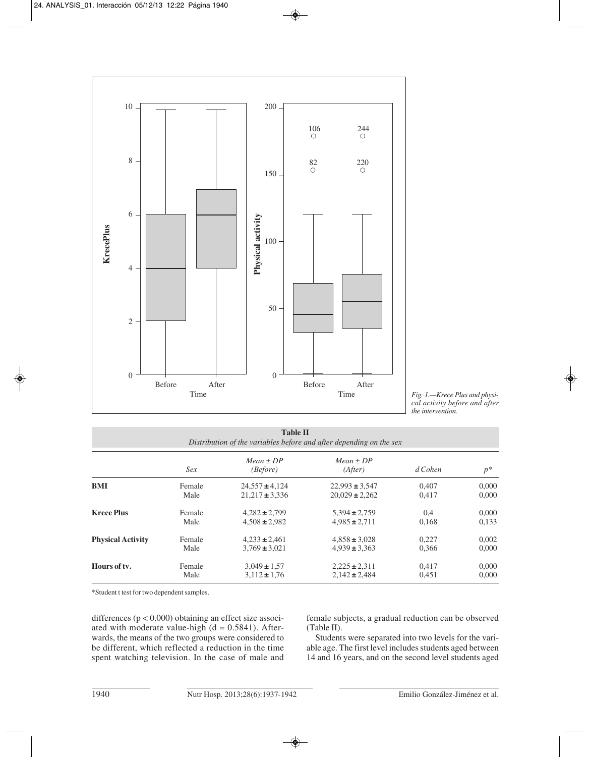



| <b>Table II</b><br>Distribution of the variables before and after depending on the sex |        |                           |                          |           |       |  |  |  |
|----------------------------------------------------------------------------------------|--------|---------------------------|--------------------------|-----------|-------|--|--|--|
|                                                                                        | Sex    | $Mean \pm DP$<br>(Before) | $Mean \pm DP$<br>(After) | $d$ Cohen | $p^*$ |  |  |  |
| <b>BMI</b>                                                                             | Female | $24,557 \pm 4,124$        | $22,993 \pm 3,547$       | 0.407     | 0,000 |  |  |  |
|                                                                                        | Male   | $21.217 \pm 3.336$        | $20.029 \pm 2.262$       | 0.417     | 0,000 |  |  |  |
| <b>Krece Plus</b>                                                                      | Female | $4.282 \pm 2.799$         | $5.394 \pm 2.759$        | 0,4       | 0,000 |  |  |  |
|                                                                                        | Male   | $4.508 \pm 2.982$         | $4,985 \pm 2,711$        | 0,168     | 0,133 |  |  |  |
| <b>Physical Activity</b>                                                               | Female | $4.233 \pm 2.461$         | $4.858 \pm 3.028$        | 0.227     | 0,002 |  |  |  |
|                                                                                        | Male   | $3.769 \pm 3.021$         | $4.939 \pm 3.363$        | 0,366     | 0,000 |  |  |  |
| Hours of ty.                                                                           | Female | $3,049 \pm 1,57$          | $2,225 \pm 2,311$        | 0.417     | 0,000 |  |  |  |
|                                                                                        | Male   | $3,112 \pm 1,76$          | $2,142 \pm 2,484$        | 0,451     | 0.000 |  |  |  |

\*Student t test for two dependent samples.

differences (p < 0.000) obtaining an effect size associated with moderate value-high  $(d = 0.5841)$ . Afterwards, the means of the two groups were considered to be different, which reflected a reduction in the time spent watching television. In the case of male and

female subjects, a gradual reduction can be observed (Table II).

Students were separated into two levels for the variable age. The first level includes students aged between 14 and 16 years, and on the second level students aged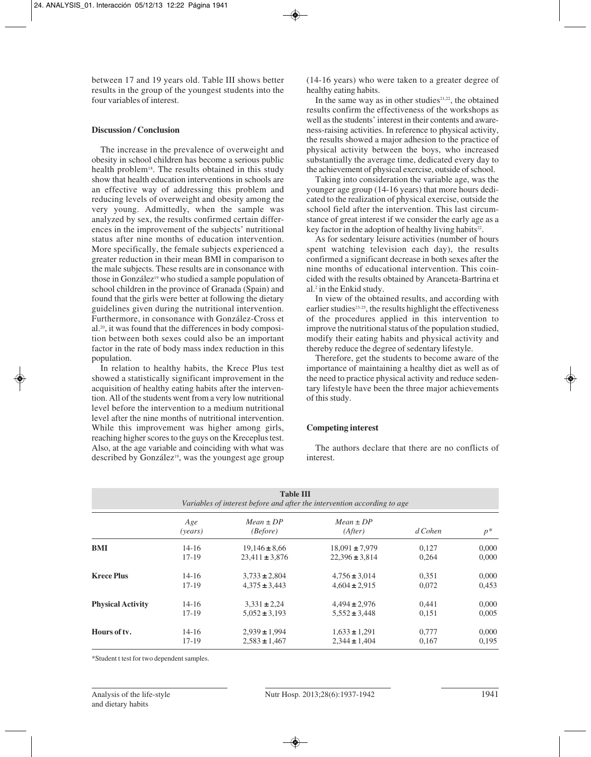between 17 and 19 years old. Table III shows better results in the group of the youngest students into the four variables of interest.

# **Discussion / Conclusion**

The increase in the prevalence of overweight and obesity in school children has become a serious public health problem<sup>18</sup>. The results obtained in this study show that health education interventions in schools are an effective way of addressing this problem and reducing levels of overweight and obesity among the very young. Admittedly, when the sample was analyzed by sex, the results confirmed certain differences in the improvement of the subjects' nutritional status after nine months of education intervention. More specifically, the female subjects experienced a greater reduction in their mean BMI in comparison to the male subjects. These results are in consonance with those in González<sup>19</sup> who studied a sample population of school children in the province of Granada (Spain) and found that the girls were better at following the dietary guidelines given during the nutritional intervention. Furthermore, in consonance with González-Cross et al.20, it was found that the differences in body composition between both sexes could also be an important factor in the rate of body mass index reduction in this population.

In relation to healthy habits, the Krece Plus test showed a statistically significant improvement in the acquisition of healthy eating habits after the intervention. All of the students went from a very low nutritional level before the intervention to a medium nutritional level after the nine months of nutritional intervention. While this improvement was higher among girls, reaching higher scores to the guys on the Kreceplus test. Also, at the age variable and coinciding with what was described by González<sup>19</sup>, was the youngest age group

(14-16 years) who were taken to a greater degree of healthy eating habits.

In the same way as in other studies $21,22$ , the obtained results confirm the effectiveness of the workshops as well as the students' interest in their contents and awareness-raising activities. In reference to physical activity, the results showed a major adhesion to the practice of physical activity between the boys, who increased substantially the average time, dedicated every day to the achievement of physical exercise, outside of school.

Taking into consideration the variable age, was the younger age group (14-16 years) that more hours dedicated to the realization of physical exercise, outside the school field after the intervention. This last circumstance of great interest if we consider the early age as a key factor in the adoption of healthy living habits<sup>22</sup>.

As for sedentary leisure activities (number of hours spent watching television each day), the results confirmed a significant decrease in both sexes after the nine months of educational intervention. This coincided with the results obtained by Aranceta-Bartrina et al.2 in the Enkid study.

In view of the obtained results, and according with earlier studies<sup>23-25</sup>, the results highlight the effectiveness of the procedures applied in this intervention to improve the nutritional status of the population studied, modify their eating habits and physical activity and thereby reduce the degree of sedentary lifestyle.

Therefore, get the students to become aware of the importance of maintaining a healthy diet as well as of the need to practice physical activity and reduce sedentary lifestyle have been the three major achievements of this study.

### **Competing interest**

The authors declare that there are no conflicts of interest.

| <b>Table III</b><br>Variables of interest before and after the intervention according to age |                |                           |                          |         |       |  |  |
|----------------------------------------------------------------------------------------------|----------------|---------------------------|--------------------------|---------|-------|--|--|
|                                                                                              | Age<br>(years) | $Mean \pm DP$<br>(Before) | $Mean \pm DP$<br>(After) | d Cohen | $p^*$ |  |  |
| <b>BMI</b>                                                                                   | $14 - 16$      | $19,146 \pm 8,66$         | $18,091 \pm 7,979$       | 0,127   | 0,000 |  |  |
|                                                                                              | $17-19$        | $23,411 \pm 3,876$        | $22,396 \pm 3,814$       | 0,264   | 0,000 |  |  |
| <b>Krece Plus</b>                                                                            | $14 - 16$      | $3,733 \pm 2,804$         | $4,756 \pm 3,014$        | 0,351   | 0,000 |  |  |
|                                                                                              | $17 - 19$      | $4.375 \pm 3.443$         | $4.604 \pm 2.915$        | 0,072   | 0,453 |  |  |
| <b>Physical Activity</b>                                                                     | 14-16          | $3,331 \pm 2,24$          | $4,494 \pm 2,976$        | 0.441   | 0,000 |  |  |
|                                                                                              | $17-19$        | $5,052 \pm 3,193$         | $5,552 \pm 3,448$        | 0,151   | 0,005 |  |  |
| Hours of ty.                                                                                 | $14 - 16$      | $2,939 \pm 1,994$         | $1,633 \pm 1,291$        | 0,777   | 0,000 |  |  |
|                                                                                              | 17-19          | $2,583 \pm 1,467$         | $2.344 \pm 1.404$        | 0,167   | 0,195 |  |  |

\*Student t test for two dependent samples.